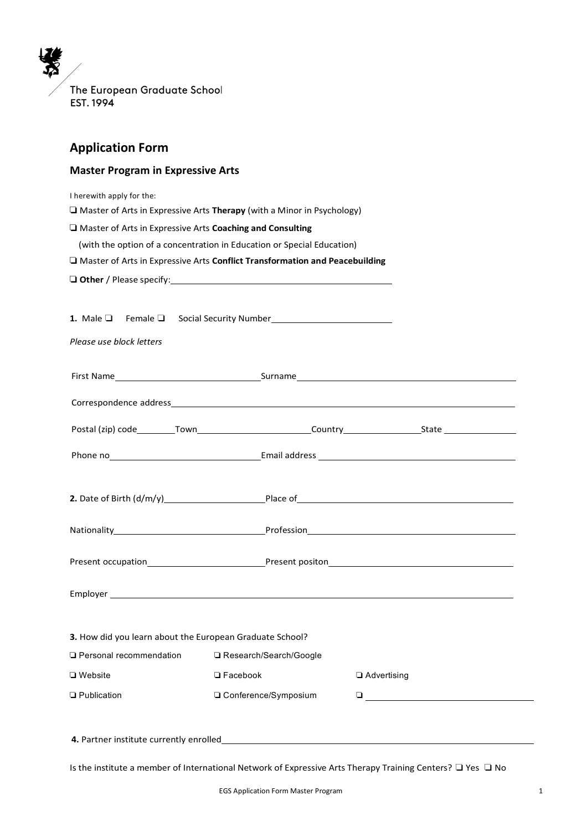The European Graduate School EST. 1994

# **Application Form**

## **Master Program in Expressive Arts**

I herewith apply for the:

❏ Master of Arts in Expressive Arts **Therapy** (with a Minor in Psychology)

❏ Master of Arts in Expressive Arts **Coaching and Consulting**

(with the option of a concentration in Education or Special Education)

❏ Master of Arts in Expressive Arts **Conflict Transformation and Peacebuilding**

❏ **Other** / Please specify:

1. Male □ Female □ Social Security Number\_

*Please use block letters*

|                                                          |                          | Phone no example and the contract example of Email address example and the contract of the contract of Email address                                                                                                                                                                                                                                      |
|----------------------------------------------------------|--------------------------|-----------------------------------------------------------------------------------------------------------------------------------------------------------------------------------------------------------------------------------------------------------------------------------------------------------------------------------------------------------|
|                                                          |                          | 2. Date of Birth $(d/m/y)$ Place of Place of Place of Place $\sim$ Place of Place $\sim$ Place $\sim$ Place $\sim$ Place $\sim$ Place $\sim$ Place $\sim$ Place $\sim$ Place $\sim$ Place $\sim$ Place $\sim$ Place $\sim$ Place $\sim$ Place $\sim$ Place                                                                                                |
|                                                          |                          |                                                                                                                                                                                                                                                                                                                                                           |
|                                                          |                          |                                                                                                                                                                                                                                                                                                                                                           |
|                                                          |                          |                                                                                                                                                                                                                                                                                                                                                           |
| 3. How did you learn about the European Graduate School? |                          |                                                                                                                                                                                                                                                                                                                                                           |
| <b>□ Personal recommendation</b>                         | □ Research/Search/Google |                                                                                                                                                                                                                                                                                                                                                           |
| $\Box$ Website                                           | $\Box$ Facebook          | □ Advertising                                                                                                                                                                                                                                                                                                                                             |
| <b>Q</b> Publication                                     | □ Conference/Symposium   | $\begin{tabular}{ c c c c } \hline \rule{0.3cm}{.04cm} \rule{0.3cm}{.04cm} \rule{0.3cm}{.04cm} \rule{0.3cm}{.04cm} \rule{0.3cm}{.04cm} \rule{0.3cm}{.04cm} \rule{0.3cm}{.04cm} \rule{0.3cm}{.04cm} \rule{0.3cm}{.04cm} \rule{0.3cm}{.04cm} \rule{0.3cm}{.04cm} \rule{0.3cm}{.04cm} \rule{0.3cm}{.04cm} \rule{0.3cm}{.04cm} \rule{0.3cm}{.04cm} \rule{0.3$ |
| 4. Partner institute currently enrolled                  |                          |                                                                                                                                                                                                                                                                                                                                                           |

Is the institute a member of International Network of Expressive Arts Therapy Training Centers? ❏ Yes ❏ No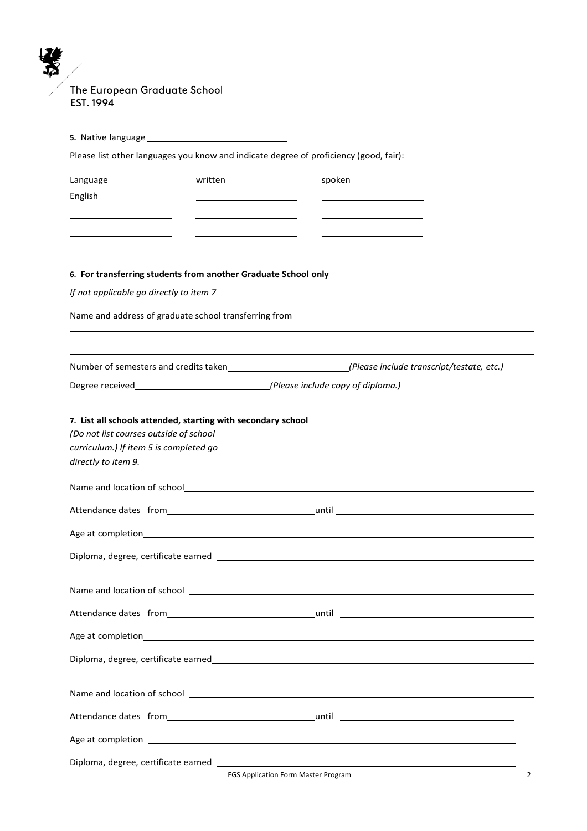The European Graduate School EST. 1994

7  $\boldsymbol{\Sigma}$ 

|                                                                                                         |         | Please list other languages you know and indicate degree of proficiency (good, fair):                                                                                                                                          |
|---------------------------------------------------------------------------------------------------------|---------|--------------------------------------------------------------------------------------------------------------------------------------------------------------------------------------------------------------------------------|
| Language<br>English                                                                                     | written | spoken                                                                                                                                                                                                                         |
|                                                                                                         |         |                                                                                                                                                                                                                                |
| 6. For transferring students from another Graduate School only                                          |         |                                                                                                                                                                                                                                |
| If not applicable go directly to item 7                                                                 |         |                                                                                                                                                                                                                                |
| Name and address of graduate school transferring from                                                   |         |                                                                                                                                                                                                                                |
|                                                                                                         |         |                                                                                                                                                                                                                                |
|                                                                                                         |         | Degree received <i>(Please include copy of diploma.)</i>                                                                                                                                                                       |
| 7. List all schools attended, starting with secondary school                                            |         |                                                                                                                                                                                                                                |
|                                                                                                         |         |                                                                                                                                                                                                                                |
|                                                                                                         |         |                                                                                                                                                                                                                                |
| (Do not list courses outside of school<br>curriculum.) If item 5 is completed go<br>directly to item 9. |         |                                                                                                                                                                                                                                |
|                                                                                                         |         |                                                                                                                                                                                                                                |
|                                                                                                         |         |                                                                                                                                                                                                                                |
|                                                                                                         |         | Age at completion experience and the set of the set of the set of the set of the set of the set of the set of the set of the set of the set of the set of the set of the set of the set of the set of the set of the set of th |
|                                                                                                         |         |                                                                                                                                                                                                                                |
|                                                                                                         |         | Name and location of school entries and the state of the state of the state of the state of the state of the state of the state of the state of the state of the state of the state of the state of the state of the state of  |
|                                                                                                         |         |                                                                                                                                                                                                                                |
|                                                                                                         |         | Age at completion entries and the state of the state of the state of the state of the state of the state of the                                                                                                                |
|                                                                                                         |         |                                                                                                                                                                                                                                |
|                                                                                                         |         | Name and location of school entries and the state of the state of the state of the state of the state of the state of the state of the state of the state of the state of the state of the state of the state of the state of  |
|                                                                                                         |         |                                                                                                                                                                                                                                |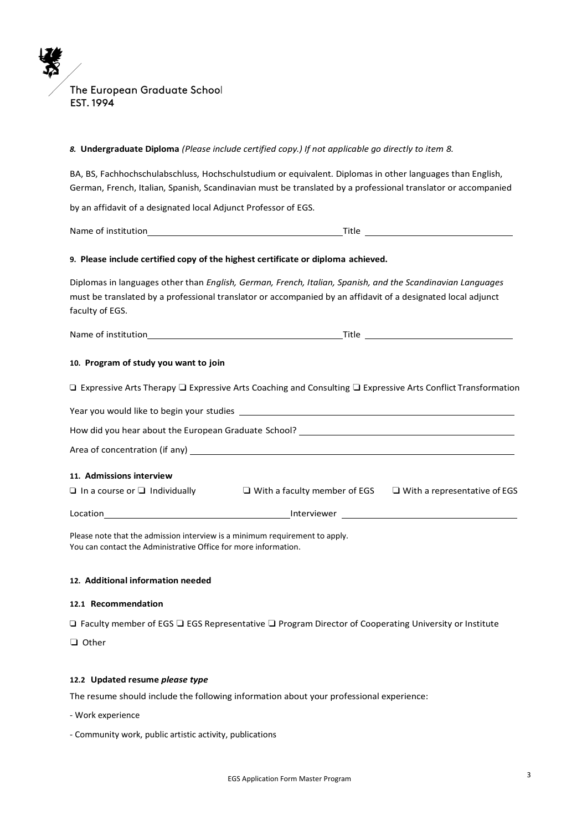# *8.* **Undergraduate Diploma** *(Please include certified copy.) If not applicable go directly to item 8.* BA, BS, Fachhochschulabschluss, Hochschulstudium or equivalent. Diplomas in other languages than English, German, French, Italian, Spanish, Scandinavian must be translated by a professional translator or accompanied by an affidavit of a designated local Adjunct Professor of EGS. Name of institution Title **9. Please include certified copy of the highest certificate or diploma achieved.** Diplomas in languages other than *English, German, French, Italian, Spanish, and the Scandinavian Languages*  must be translated by a professional translator or accompanied by an affidavit of a designated local adjunct faculty of EGS. Name of institution Title **10. Program of study you want to join** ❑ Expressive Arts Therapy ❏ Expressive Arts Coaching and Consulting ❏ Expressive Arts Conflict Transformation Year you would like to begin your studies How did you hear about the European Graduate School? \_\_\_\_\_\_\_\_\_\_\_\_\_\_\_\_\_\_\_\_\_\_\_\_\_\_\_ Area of concentration (if any) **11. Admissions interview** ❑ In a course or ❏ Individually ❏ With a faculty member of EGS ❏ With a representative of EGS Location Interviewer

Please note that the admission interview is a minimum requirement to apply. You can contact the Administrative Office for more information.

#### **12. Additional information needed**

#### **12.1 Recommendation**

❑ Faculty member of EGS ❏ EGS Representative ❏ Program Director of Cooperating University or Institute

❏ Other

#### **12.2 Updated resume** *please type*

The resume should include the following information about your professional experience:

- Work experience
- Community work, public artistic activity, publications